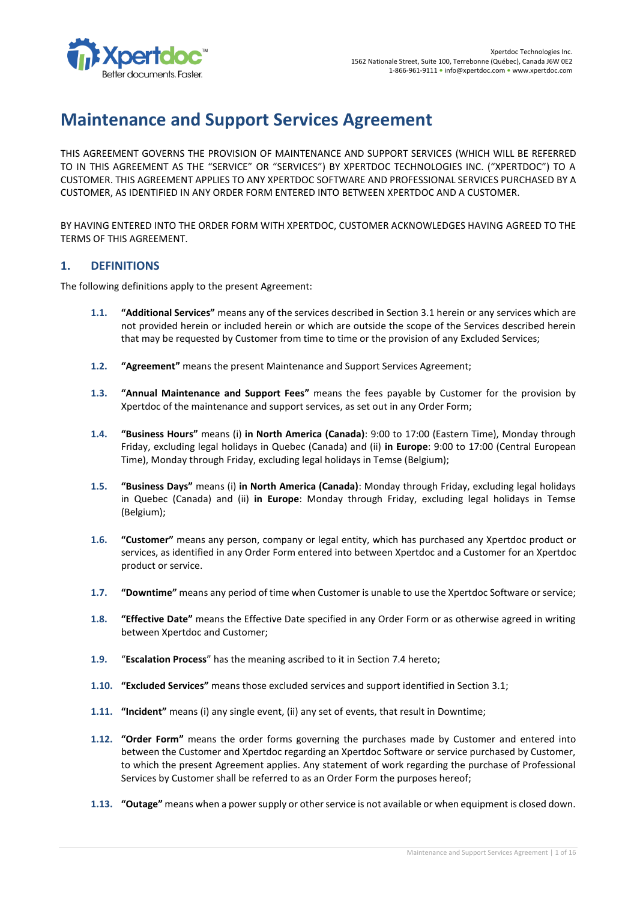

# **Maintenance and Support Services Agreement**

THIS AGREEMENT GOVERNS THE PROVISION OF MAINTENANCE AND SUPPORT SERVICES (WHICH WILL BE REFERRED TO IN THIS AGREEMENT AS THE "SERVICE" OR "SERVICES") BY XPERTDOC TECHNOLOGIES INC. ("XPERTDOC") TO A CUSTOMER. THIS AGREEMENT APPLIES TO ANY XPERTDOC SOFTWARE AND PROFESSIONAL SERVICES PURCHASED BY A CUSTOMER, AS IDENTIFIED IN ANY ORDER FORM ENTERED INTO BETWEEN XPERTDOC AND A CUSTOMER.

BY HAVING ENTERED INTO THE ORDER FORM WITH XPERTDOC, CUSTOMER ACKNOWLEDGES HAVING AGREED TO THE TERMS OF THIS AGREEMENT.

# **1. DEFINITIONS**

The following definitions apply to the present Agreement:

- **1.1. "Additional Services"** means any of the services described in Sectio[n 3.1](#page-2-0) herein or any services which are not provided herein or included herein or which are outside the scope of the Services described herein that may be requested by Customer from time to time or the provision of any Excluded Services;
- **1.2. "Agreement"** means the present Maintenance and Support Services Agreement;
- **1.3. "Annual Maintenance and Support Fees"** means the fees payable by Customer for the provision by Xpertdoc of the maintenance and support services, as set out in any Order Form;
- **1.4. "Business Hours"** means (i) **in North America (Canada)**: 9:00 to 17:00 (Eastern Time), Monday through Friday, excluding legal holidays in Quebec (Canada) and (ii) **in Europe**: 9:00 to 17:00 (Central European Time), Monday through Friday, excluding legal holidays in Temse (Belgium);
- **1.5. "Business Days"** means (i) **in North America (Canada)**: Monday through Friday, excluding legal holidays in Quebec (Canada) and (ii) **in Europe**: Monday through Friday, excluding legal holidays in Temse (Belgium);
- **1.6. "Customer"** means any person, company or legal entity, which has purchased any Xpertdoc product or services, as identified in any Order Form entered into between Xpertdoc and a Customer for an Xpertdoc product or service.
- **1.7. "Downtime"** means any period of time when Customer is unable to use the Xpertdoc Software or service;
- **1.8. "Effective Date"** means the Effective Date specified in any Order Form or as otherwise agreed in writing between Xpertdoc and Customer;
- **1.9.** "**Escalation Process**" has the meaning ascribed to it in Sectio[n 7.4](#page-11-0) hereto;
- **1.10. "Excluded Services"** means those excluded services and support identified in Section [3.1;](#page-2-0)
- **1.11. "Incident"** means (i) any single event, (ii) any set of events, that result in Downtime;
- **1.12. "Order Form"** means the order forms governing the purchases made by Customer and entered into between the Customer and Xpertdoc regarding an Xpertdoc Software or service purchased by Customer, to which the present Agreement applies. Any statement of work regarding the purchase of Professional Services by Customer shall be referred to as an Order Form the purposes hereof;
- **1.13. "Outage"** means when a power supply or other service is not available or when equipment is closed down.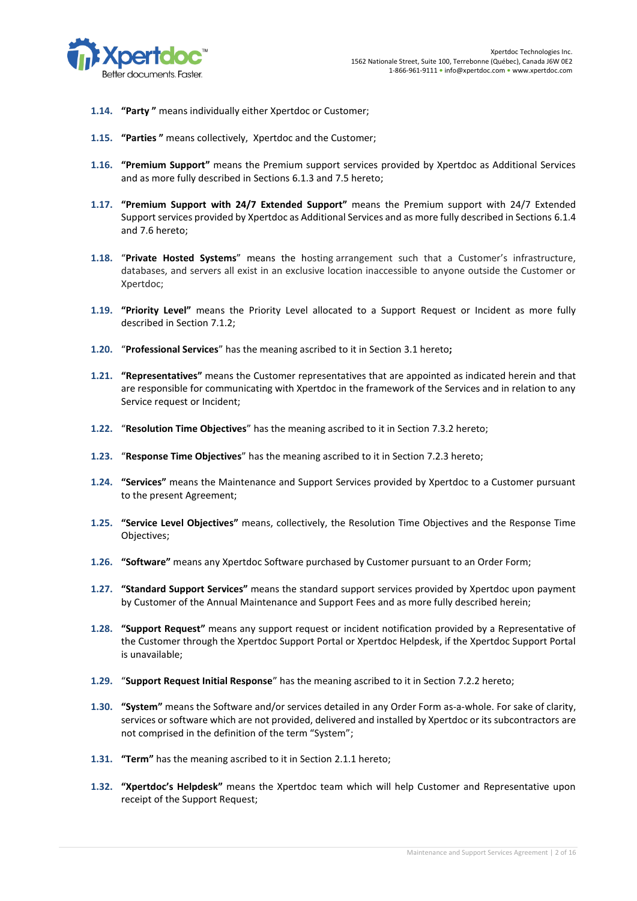

- **1.14. "Party "** means individually either Xpertdoc or Customer;
- **1.15. "Parties "** means collectively, Xpertdoc and the Customer;
- **1.16. "Premium Support"** means the Premium support services provided by Xpertdoc as Additional Services and as more fully described in Sections [6.1.3](#page-6-0) an[d 7.5](#page-12-0) hereto;
- **1.17. "Premium Support with 24/7 Extended Support"** means the Premium support with 24/7 Extended Support services provided by Xpertdoc as Additional Services and as more fully described in Sections [6.1.4](#page-7-0) and [7.6](#page-12-1) hereto;
- **1.18.** "**Private Hosted Systems**" means the hosting arrangement such that a Customer's infrastructure, databases, and servers all exist in an exclusive location inaccessible to anyone outside the Customer or Xpertdoc;
- **1.19. "Priority Level"** means the Priority Level allocated to a Support Request or Incident as more fully described in Section [7.1.2;](#page-9-0)
- **1.20.** "**Professional Services**" has the meaning ascribed to it in Section [3.1](#page-2-0) hereto**;**
- **1.21. "Representatives"** means the Customer representatives that are appointed as indicated herein and that are responsible for communicating with Xpertdoc in the framework of the Services and in relation to any Service request or Incident;
- **1.22.** "**Resolution Time Objectives**" has the meaning ascribed to it in Section [7.3.2](#page-11-1) hereto;
- **1.23.** "**Response Time Objectives**" has the meaning ascribed to it in Section [7.2.3](#page-10-0) hereto;
- **1.24. "Services"** means the Maintenance and Support Services provided by Xpertdoc to a Customer pursuant to the present Agreement;
- **1.25. "Service Level Objectives"** means, collectively, the Resolution Time Objectives and the Response Time Objectives;
- **1.26. "Software"** means any Xpertdoc Software purchased by Customer pursuant to an Order Form;
- **1.27. "Standard Support Services"** means the standard support services provided by Xpertdoc upon payment by Customer of the Annual Maintenance and Support Fees and as more fully described herein;
- **1.28. "Support Request"** means any support request or incident notification provided by a Representative of the Customer through the Xpertdoc Support Portal or Xpertdoc Helpdesk, if the Xpertdoc Support Portal is unavailable;
- **1.29.** "**Support Request Initial Response**" has the meaning ascribed to it in Section [7.2.2](#page-10-1) hereto;
- **1.30. "System"** means the Software and/or services detailed in any Order Form as-a-whole. For sake of clarity, services or software which are not provided, delivered and installed by Xpertdoc or its subcontractors are not comprised in the definition of the term "System";
- **1.31. "Term"** has the meaning ascribed to it in Section [2.1.1](#page-2-1) hereto;
- **1.32. "Xpertdoc's Helpdesk"** means the Xpertdoc team which will help Customer and Representative upon receipt of the Support Request;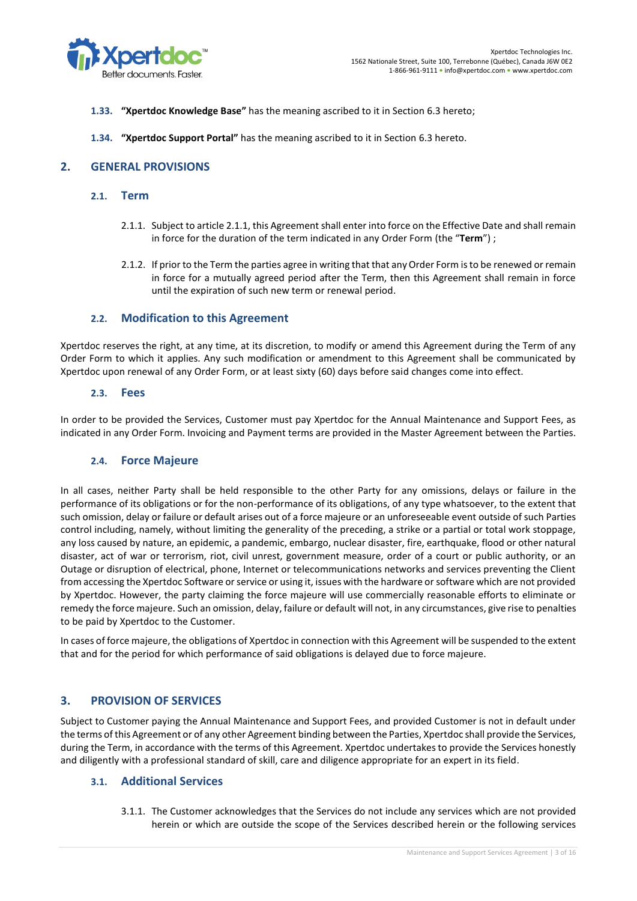

- **1.33. "Xpertdoc Knowledge Base"** has the meaning ascribed to it in Section [6.3](#page-7-1) hereto;
- **1.34. "Xpertdoc Support Portal"** has the meaning ascribed to it in Section [6.3](#page-7-1) hereto.

# **2. GENERAL PROVISIONS**

- <span id="page-2-2"></span><span id="page-2-1"></span>**2.1. Term**
	- 2.1.1. Subject to articl[e 2.1.1,](#page-2-2) this Agreement shall enter into force on the Effective Date and shall remain in force for the duration of the term indicated in any Order Form (the "**Term**") ;
	- 2.1.2. If prior to the Term the parties agree in writing that that any Order Form is to be renewed or remain in force for a mutually agreed period after the Term, then this Agreement shall remain in force until the expiration of such new term or renewal period.

#### **2.2. Modification to this Agreement**

Xpertdoc reserves the right, at any time, at its discretion, to modify or amend this Agreement during the Term of any Order Form to which it applies. Any such modification or amendment to this Agreement shall be communicated by Xpertdoc upon renewal of any Order Form, or at least sixty (60) days before said changes come into effect.

#### **2.3. Fees**

In order to be provided the Services, Customer must pay Xpertdoc for the Annual Maintenance and Support Fees, as indicated in any Order Form. Invoicing and Payment terms are provided in the Master Agreement between the Parties.

#### **2.4. Force Majeure**

In all cases, neither Party shall be held responsible to the other Party for any omissions, delays or failure in the performance of its obligations or for the non-performance of its obligations, of any type whatsoever, to the extent that such omission, delay or failure or default arises out of a force majeure or an unforeseeable event outside of such Parties control including, namely, without limiting the generality of the preceding, a strike or a partial or total work stoppage, any loss caused by nature, an epidemic, a pandemic, embargo, nuclear disaster, fire, earthquake, flood or other natural disaster, act of war or terrorism, riot, civil unrest, government measure, order of a court or public authority, or an Outage or disruption of electrical, phone, Internet or telecommunications networks and services preventing the Client from accessing the Xpertdoc Software or service or using it, issues with the hardware or software which are not provided by Xpertdoc. However, the party claiming the force majeure will use commercially reasonable efforts to eliminate or remedy the force majeure. Such an omission, delay, failure or default will not, in any circumstances, give rise to penalties to be paid by Xpertdoc to the Customer.

In cases of force majeure, the obligations of Xpertdoc in connection with this Agreement will be suspended to the extent that and for the period for which performance of said obligations is delayed due to force majeure.

## **3. PROVISION OF SERVICES**

Subject to Customer paying the Annual Maintenance and Support Fees, and provided Customer is not in default under the terms of this Agreement or of any other Agreement binding between the Parties, Xpertdoc shall provide the Services, during the Term, in accordance with the terms of this Agreement. Xpertdoc undertakes to provide the Services honestly and diligently with a professional standard of skill, care and diligence appropriate for an expert in its field.

## <span id="page-2-0"></span>**3.1. Additional Services**

3.1.1. The Customer acknowledges that the Services do not include any services which are not provided herein or which are outside the scope of the Services described herein or the following services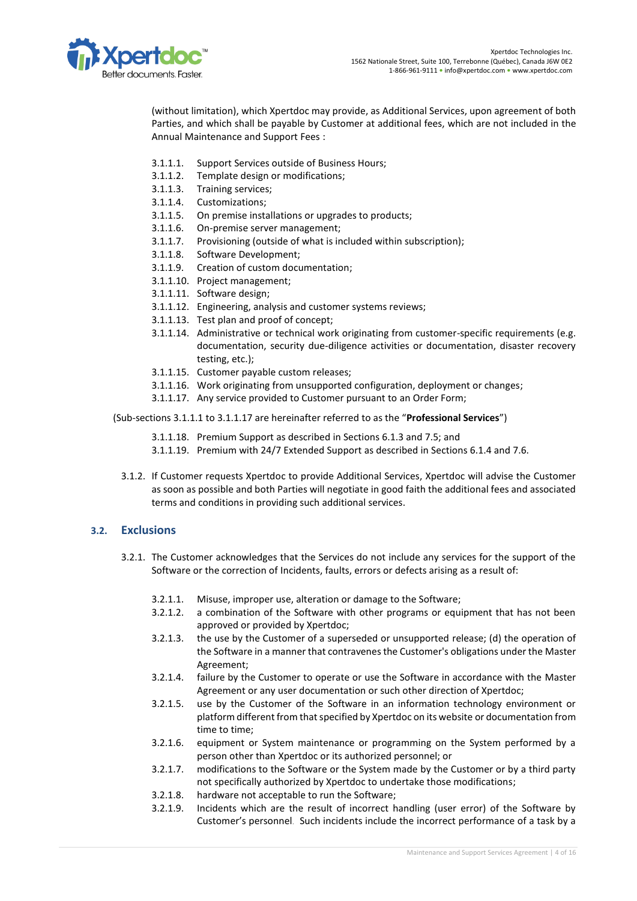

(without limitation), which Xpertdoc may provide, as Additional Services, upon agreement of both Parties, and which shall be payable by Customer at additional fees, which are not included in the Annual Maintenance and Support Fees :

- <span id="page-3-0"></span>3.1.1.1. Support Services outside of Business Hours;
- 3.1.1.2. Template design or modifications;
- 3.1.1.3. Training services;
- 3.1.1.4. Customizations;
- 3.1.1.5. On premise installations or upgrades to products;
- 3.1.1.6. On-premise server management;
- 3.1.1.7. Provisioning (outside of what is included within subscription);
- 3.1.1.8. Software Development;
- 3.1.1.9. Creation of custom documentation;
- 3.1.1.10. Project management;
- 3.1.1.11. Software design;
- 3.1.1.12. Engineering, analysis and customer systems reviews;
- 3.1.1.13. Test plan and proof of concept;
- 3.1.1.14. Administrative or technical work originating from customer-specific requirements (e.g. documentation, security due-diligence activities or documentation, disaster recovery testing, etc.);
- 3.1.1.15. Customer payable custom releases;
- 3.1.1.16. Work originating from unsupported configuration, deployment or changes;
- 3.1.1.17. Any service provided to Customer pursuant to an Order Form;
- <span id="page-3-1"></span> (Sub-sections [3.1.1.1](#page-3-0) to [3.1.1.17](#page-3-1) are hereinafter referred to as the "**Professional Services**")
	- 3.1.1.18. Premium Support as described in Sections [6.1.3](#page-6-0) and [7.5;](#page-12-0) and
	- 3.1.1.19. Premium with 24/7 Extended Support as described in Sections [6.1.4](#page-7-0) an[d 7.6.](#page-12-1)
	- 3.1.2. If Customer requests Xpertdoc to provide Additional Services, Xpertdoc will advise the Customer as soon as possible and both Parties will negotiate in good faith the additional fees and associated terms and conditions in providing such additional services.

# **3.2. Exclusions**

- 3.2.1. The Customer acknowledges that the Services do not include any services for the support of the Software or the correction of Incidents, faults, errors or defects arising as a result of:
	- 3.2.1.1. Misuse, improper use, alteration or damage to the Software;
	- 3.2.1.2. a combination of the Software with other programs or equipment that has not been approved or provided by Xpertdoc;
	- 3.2.1.3. the use by the Customer of a superseded or unsupported release; (d) the operation of the Software in a manner that contravenes the Customer's obligations under the Master Agreement;
	- 3.2.1.4. failure by the Customer to operate or use the Software in accordance with the Master Agreement or any user documentation or such other direction of Xpertdoc;
	- 3.2.1.5. use by the Customer of the Software in an information technology environment or platform different from that specified by Xpertdoc on its website or documentation from time to time;
	- 3.2.1.6. equipment or System maintenance or programming on the System performed by a person other than Xpertdoc or its authorized personnel; or
	- 3.2.1.7. modifications to the Software or the System made by the Customer or by a third party not specifically authorized by Xpertdoc to undertake those modifications;
	- 3.2.1.8. hardware not acceptable to run the Software;
	- 3.2.1.9. Incidents which are the result of incorrect handling (user error) of the Software by Customer's personnel. Such incidents include the incorrect performance of a task by a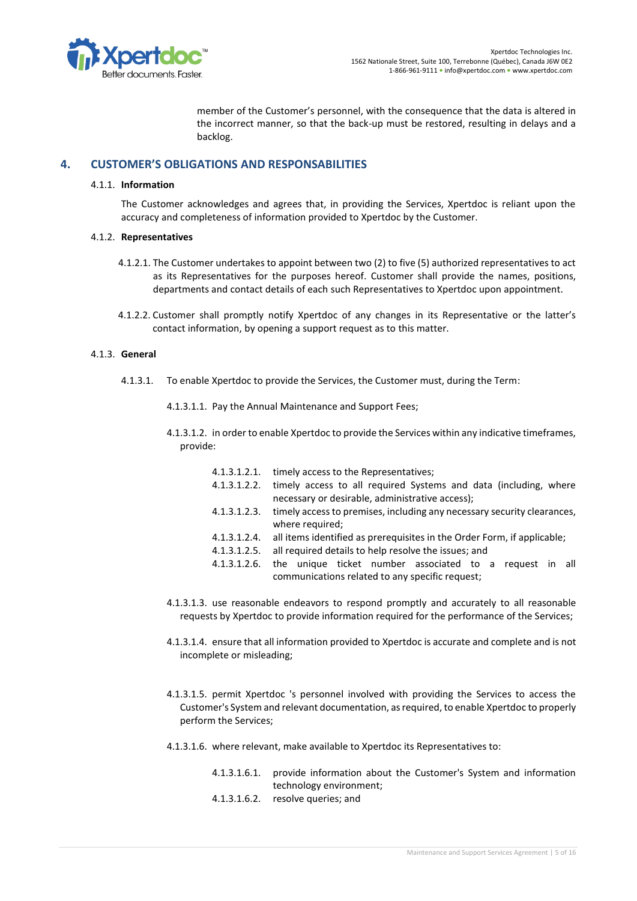

member of the Customer's personnel, with the consequence that the data is altered in the incorrect manner, so that the back-up must be restored, resulting in delays and a backlog.

# **4. CUSTOMER'S OBLIGATIONS AND RESPONSABILITIES**

#### 4.1.1. **Information**

The Customer acknowledges and agrees that, in providing the Services, Xpertdoc is reliant upon the accuracy and completeness of information provided to Xpertdoc by the Customer.

#### 4.1.2. **Representatives**

- 4.1.2.1. The Customer undertakes to appoint between two (2) to five (5) authorized representatives to act as its Representatives for the purposes hereof. Customer shall provide the names, positions, departments and contact details of each such Representatives to Xpertdoc upon appointment.
- 4.1.2.2. Customer shall promptly notify Xpertdoc of any changes in its Representative or the latter's contact information, by opening a support request as to this matter.

#### 4.1.3. **General**

4.1.3.1. To enable Xpertdoc to provide the Services, the Customer must, during the Term:

4.1.3.1.1. Pay the Annual Maintenance and Support Fees;

- 4.1.3.1.2. in order to enable Xpertdoc to provide the Services within any indicative timeframes, provide:
	- 4.1.3.1.2.1. timely access to the Representatives;
	- 4.1.3.1.2.2. timely access to all required Systems and data (including, where necessary or desirable, administrative access);
	- 4.1.3.1.2.3. timely access to premises, including any necessary security clearances, where required;
	- 4.1.3.1.2.4. all items identified as prerequisites in the Order Form, if applicable;
	- 4.1.3.1.2.5. all required details to help resolve the issues; and
	- 4.1.3.1.2.6. the unique ticket number associated to a request in all communications related to any specific request;
- 4.1.3.1.3. use reasonable endeavors to respond promptly and accurately to all reasonable requests by Xpertdoc to provide information required for the performance of the Services;
- 4.1.3.1.4. ensure that all information provided to Xpertdoc is accurate and complete and is not incomplete or misleading;
- 4.1.3.1.5. permit Xpertdoc 's personnel involved with providing the Services to access the Customer's System and relevant documentation, as required, to enable Xpertdoc to properly perform the Services;
- 4.1.3.1.6. where relevant, make available to Xpertdoc its Representatives to:
	- 4.1.3.1.6.1. provide information about the Customer's System and information technology environment;
	- 4.1.3.1.6.2. resolve queries; and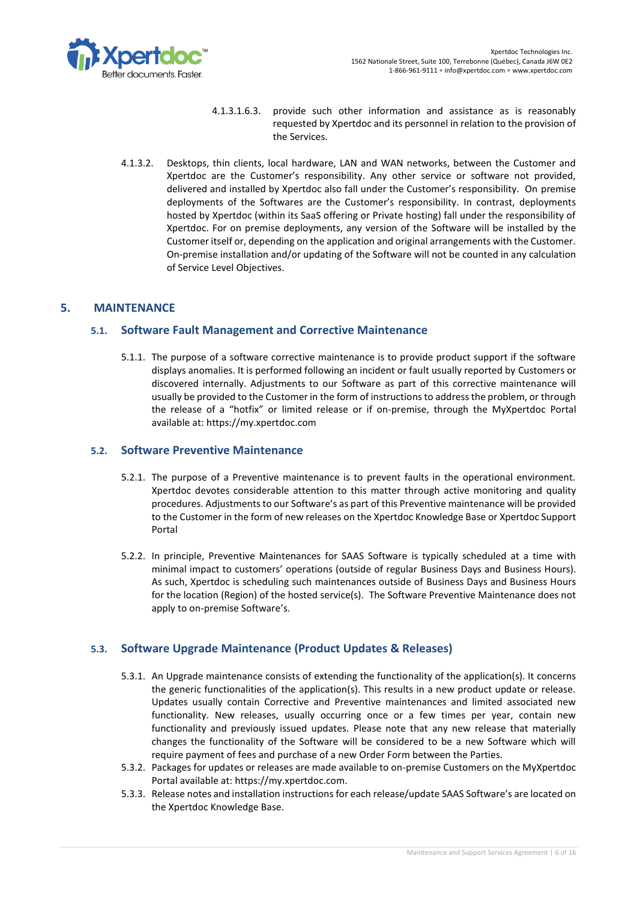

- 4.1.3.1.6.3. provide such other information and assistance as is reasonably requested by Xpertdoc and its personnel in relation to the provision of the Services.
- 4.1.3.2. Desktops, thin clients, local hardware, LAN and WAN networks, between the Customer and Xpertdoc are the Customer's responsibility. Any other service or software not provided, delivered and installed by Xpertdoc also fall under the Customer's responsibility. On premise deployments of the Softwares are the Customer's responsibility. In contrast, deployments hosted by Xpertdoc (within its SaaS offering or Private hosting) fall under the responsibility of Xpertdoc. For on premise deployments, any version of the Software will be installed by the Customer itself or, depending on the application and original arrangements with the Customer. On-premise installation and/or updating of the Software will not be counted in any calculation of Service Level Objectives.

# **5. MAINTENANCE**

# **5.1. Software Fault Management and Corrective Maintenance**

5.1.1. The purpose of a software corrective maintenance is to provide product support if the software displays anomalies. It is performed following an incident or fault usually reported by Customers or discovered internally. Adjustments to our Software as part of this corrective maintenance will usually be provided to the Customer in the form of instructions to address the problem, or through the release of a "hotfix" or limited release or if on-premise, through the MyXpertdoc Portal available at: https://my.xpertdoc.com

## **5.2. Software Preventive Maintenance**

- 5.2.1. The purpose of a Preventive maintenance is to prevent faults in the operational environment. Xpertdoc devotes considerable attention to this matter through active monitoring and quality procedures. Adjustments to our Software's as part of this Preventive maintenance will be provided to the Customer in the form of new releases on the Xpertdoc Knowledge Base or Xpertdoc Support Portal
- 5.2.2. In principle, Preventive Maintenances for SAAS Software is typically scheduled at a time with minimal impact to customers' operations (outside of regular Business Days and Business Hours). As such, Xpertdoc is scheduling such maintenances outside of Business Days and Business Hours for the location (Region) of the hosted service(s). The Software Preventive Maintenance does not apply to on-premise Software's.

# **5.3. Software Upgrade Maintenance (Product Updates & Releases)**

- 5.3.1. An Upgrade maintenance consists of extending the functionality of the application(s). It concerns the generic functionalities of the application(s). This results in a new product update or release. Updates usually contain Corrective and Preventive maintenances and limited associated new functionality. New releases, usually occurring once or a few times per year, contain new functionality and previously issued updates. Please note that any new release that materially changes the functionality of the Software will be considered to be a new Software which will require payment of fees and purchase of a new Order Form between the Parties.
- 5.3.2. Packages for updates or releases are made available to on-premise Customers on the MyXpertdoc Portal available at: https://my.xpertdoc.com.
- 5.3.3. Release notes and installation instructions for each release/update SAAS Software's are located on the Xpertdoc Knowledge Base.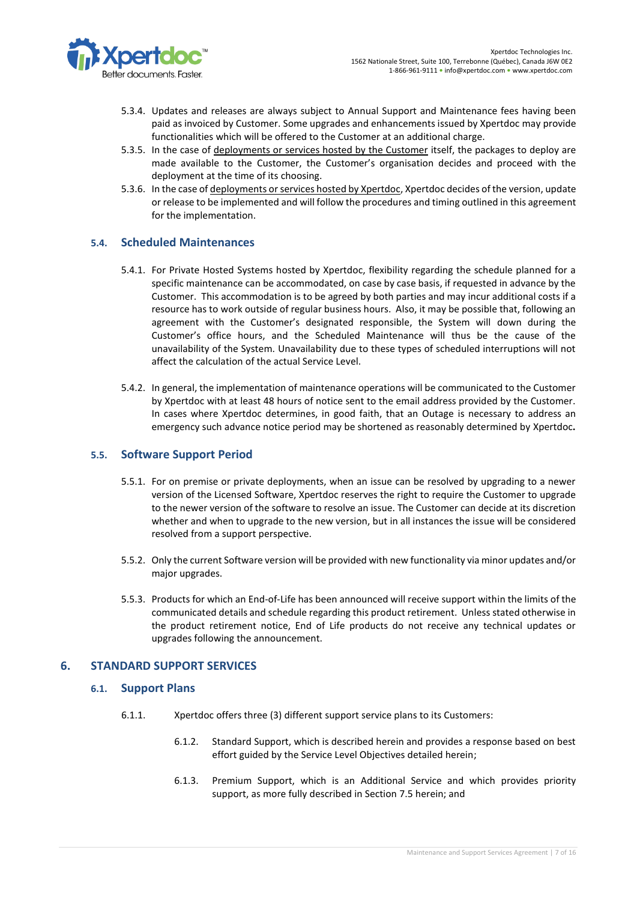

- 5.3.4. Updates and releases are always subject to Annual Support and Maintenance fees having been paid as invoiced by Customer. Some upgrades and enhancements issued by Xpertdoc may provide functionalities which will be offered to the Customer at an additional charge.
- 5.3.5. In the case of deployments or services hosted by the Customer itself, the packages to deploy are made available to the Customer, the Customer's organisation decides and proceed with the deployment at the time of its choosing.
- 5.3.6. In the case of deployments or services hosted by Xpertdoc, Xpertdoc decides of the version, update or release to be implemented and will follow the procedures and timing outlined in this agreement for the implementation.

# **5.4. Scheduled Maintenances**

- 5.4.1. For Private Hosted Systems hosted by Xpertdoc, flexibility regarding the schedule planned for a specific maintenance can be accommodated, on case by case basis, if requested in advance by the Customer. This accommodation is to be agreed by both parties and may incur additional costs if a resource has to work outside of regular business hours. Also, it may be possible that, following an agreement with the Customer's designated responsible, the System will down during the Customer's office hours, and the Scheduled Maintenance will thus be the cause of the unavailability of the System. Unavailability due to these types of scheduled interruptions will not affect the calculation of the actual Service Level.
- 5.4.2. In general, the implementation of maintenance operations will be communicated to the Customer by Xpertdoc with at least 48 hours of notice sent to the email address provided by the Customer. In cases where Xpertdoc determines, in good faith, that an Outage is necessary to address an emergency such advance notice period may be shortened as reasonably determined by Xpertdoc**.**

#### **5.5. Software Support Period**

- 5.5.1. For on premise or private deployments, when an issue can be resolved by upgrading to a newer version of the Licensed Software, Xpertdoc reserves the right to require the Customer to upgrade to the newer version of the software to resolve an issue. The Customer can decide at its discretion whether and when to upgrade to the new version, but in all instances the issue will be considered resolved from a support perspective.
- 5.5.2. Only the current Software version will be provided with new functionality via minor updates and/or major upgrades.
- 5.5.3. Products for which an End-of-Life has been announced will receive support within the limits of the communicated details and schedule regarding this product retirement. Unless stated otherwise in the product retirement notice, End of Life products do not receive any technical updates or upgrades following the announcement.

#### **6. STANDARD SUPPORT SERVICES**

#### **6.1. Support Plans**

- <span id="page-6-0"></span>6.1.1. Xpertdoc offers three (3) different support service plans to its Customers:
	- 6.1.2. Standard Support, which is described herein and provides a response based on best effort guided by the Service Level Objectives detailed herein;
	- 6.1.3. Premium Support, which is an Additional Service and which provides priority support, as more fully described in Sectio[n 7.5](#page-12-0) herein; and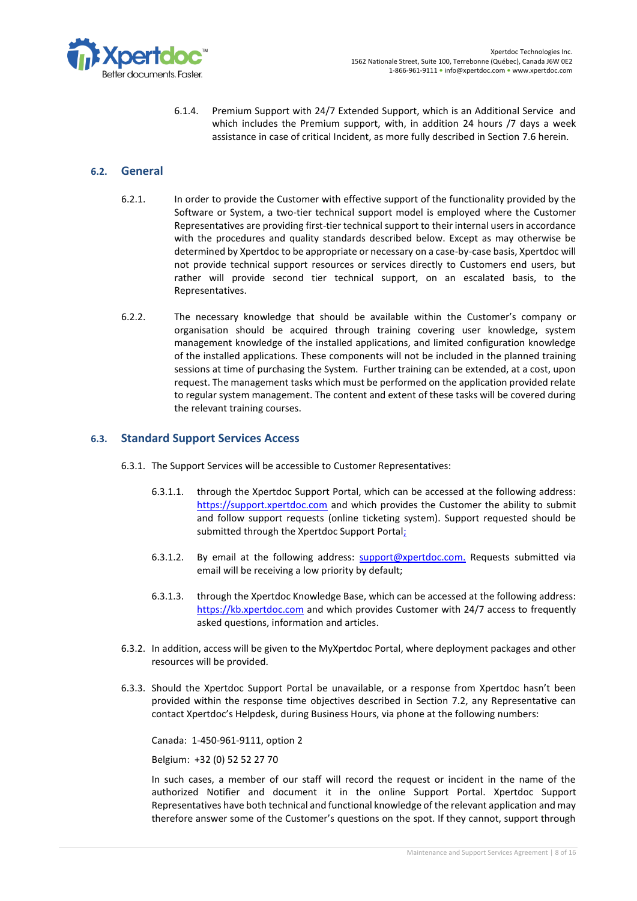

6.1.4. Premium Support with 24/7 Extended Support, which is an Additional Service and which includes the Premium support, with, in addition 24 hours /7 days a week assistance in case of critical Incident, as more fully described in Section [7.6](#page-12-1) herein.

# <span id="page-7-0"></span>**6.2. General**

- 6.2.1. In order to provide the Customer with effective support of the functionality provided by the Software or System, a two-tier technical support model is employed where the Customer Representatives are providing first-tier technical support to their internal users in accordance with the procedures and quality standards described below. Except as may otherwise be determined by Xpertdoc to be appropriate or necessary on a case-by-case basis, Xpertdoc will not provide technical support resources or services directly to Customers end users, but rather will provide second tier technical support, on an escalated basis, to the Representatives.
- 6.2.2. The necessary knowledge that should be available within the Customer's company or organisation should be acquired through training covering user knowledge, system management knowledge of the installed applications, and limited configuration knowledge of the installed applications. These components will not be included in the planned training sessions at time of purchasing the System. Further training can be extended, at a cost, upon request. The management tasks which must be performed on the application provided relate to regular system management. The content and extent of these tasks will be covered during the relevant training courses.

# <span id="page-7-1"></span>**6.3. Standard Support Services Access**

- 6.3.1. The Support Services will be accessible to Customer Representatives:
	- 6.3.1.1. through the Xpertdoc Support Portal, which can be accessed at the following address: [https://support.xpertdoc.com](https://support.xpertdoc.com/) and which provides the Customer the ability to submit and follow support requests (online ticketing system). Support requested should be submitted through the Xpertdoc Support Portal;
	- 6.3.1.2. By email at the following address: [support@xpertdoc.com.](mailto:support@xpertdoc.com) Requests submitted via email will be receiving a low priority by default;
	- 6.3.1.3. through the Xpertdoc Knowledge Base, which can be accessed at the following address: [https://kb.xpertdoc.com](https://kb.xpertdoc.com/) and which provides Customer with 24/7 access to frequently asked questions, information and articles.
- 6.3.2. In addition, access will be given to the MyXpertdoc Portal, where deployment packages and other resources will be provided.
- <span id="page-7-2"></span>6.3.3. Should the Xpertdoc Support Portal be unavailable, or a response from Xpertdoc hasn't been provided within the response time objectives described in Section [7.2,](#page-10-2) any Representative can contact Xpertdoc's Helpdesk, during Business Hours, via phone at the following numbers:

Canada: 1-450-961-9111, option 2

Belgium: +32 (0) 52 52 27 70

In such cases, a member of our staff will record the request or incident in the name of the authorized Notifier and document it in the online Support Portal. Xpertdoc Support Representatives have both technical and functional knowledge of the relevant application and may therefore answer some of the Customer's questions on the spot. If they cannot, support through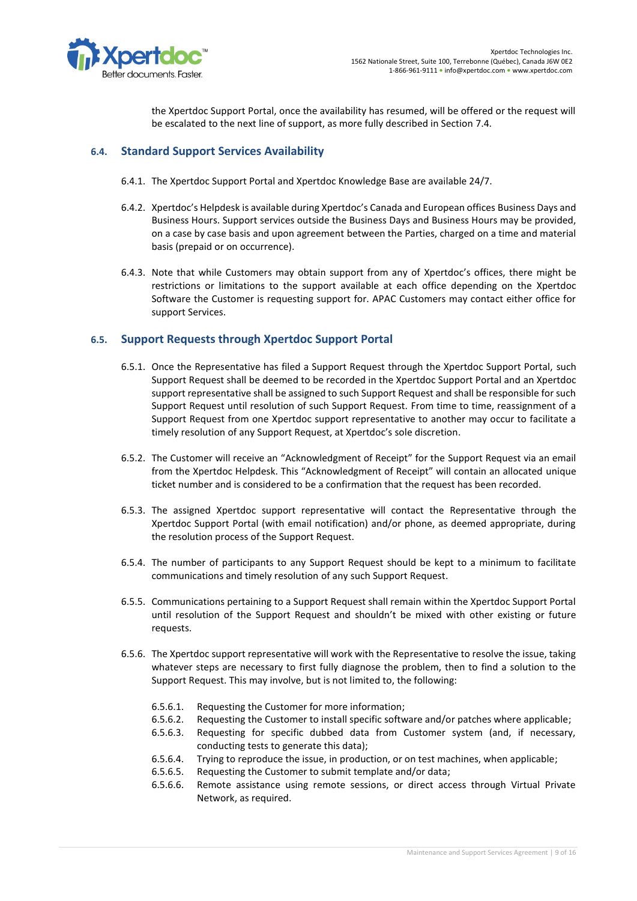

the Xpertdoc Support Portal, once the availability has resumed, will be offered or the request will be escalated to the next line of support, as more fully described in Sectio[n 7.4.](#page-11-0)

# <span id="page-8-0"></span>**6.4. Standard Support Services Availability**

- 6.4.1. The Xpertdoc Support Portal and Xpertdoc Knowledge Base are available 24/7.
- 6.4.2. Xpertdoc's Helpdesk is available during Xpertdoc's Canada and European offices Business Days and Business Hours. Support services outside the Business Days and Business Hours may be provided, on a case by case basis and upon agreement between the Parties, charged on a time and material basis (prepaid or on occurrence).
- 6.4.3. Note that while Customers may obtain support from any of Xpertdoc's offices, there might be restrictions or limitations to the support available at each office depending on the Xpertdoc Software the Customer is requesting support for. APAC Customers may contact either office for support Services.

# **6.5. Support Requests through Xpertdoc Support Portal**

- 6.5.1. Once the Representative has filed a Support Request through the Xpertdoc Support Portal, such Support Request shall be deemed to be recorded in the Xpertdoc Support Portal and an Xpertdoc support representative shall be assigned to such Support Request and shall be responsible for such Support Request until resolution of such Support Request. From time to time, reassignment of a Support Request from one Xpertdoc support representative to another may occur to facilitate a timely resolution of any Support Request, at Xpertdoc's sole discretion.
- 6.5.2. The Customer will receive an "Acknowledgment of Receipt" for the Support Request via an email from the Xpertdoc Helpdesk. This "Acknowledgment of Receipt" will contain an allocated unique ticket number and is considered to be a confirmation that the request has been recorded.
- 6.5.3. The assigned Xpertdoc support representative will contact the Representative through the Xpertdoc Support Portal (with email notification) and/or phone, as deemed appropriate, during the resolution process of the Support Request.
- 6.5.4. The number of participants to any Support Request should be kept to a minimum to facilitate communications and timely resolution of any such Support Request.
- 6.5.5. Communications pertaining to a Support Request shall remain within the Xpertdoc Support Portal until resolution of the Support Request and shouldn't be mixed with other existing or future requests.
- 6.5.6. The Xpertdoc support representative will work with the Representative to resolve the issue, taking whatever steps are necessary to first fully diagnose the problem, then to find a solution to the Support Request. This may involve, but is not limited to, the following:
	- 6.5.6.1. Requesting the Customer for more information;
	- 6.5.6.2. Requesting the Customer to install specific software and/or patches where applicable;
	- 6.5.6.3. Requesting for specific dubbed data from Customer system (and, if necessary, conducting tests to generate this data);
	- 6.5.6.4. Trying to reproduce the issue, in production, or on test machines, when applicable;
	- 6.5.6.5. Requesting the Customer to submit template and/or data;
	- 6.5.6.6. Remote assistance using remote sessions, or direct access through Virtual Private Network, as required.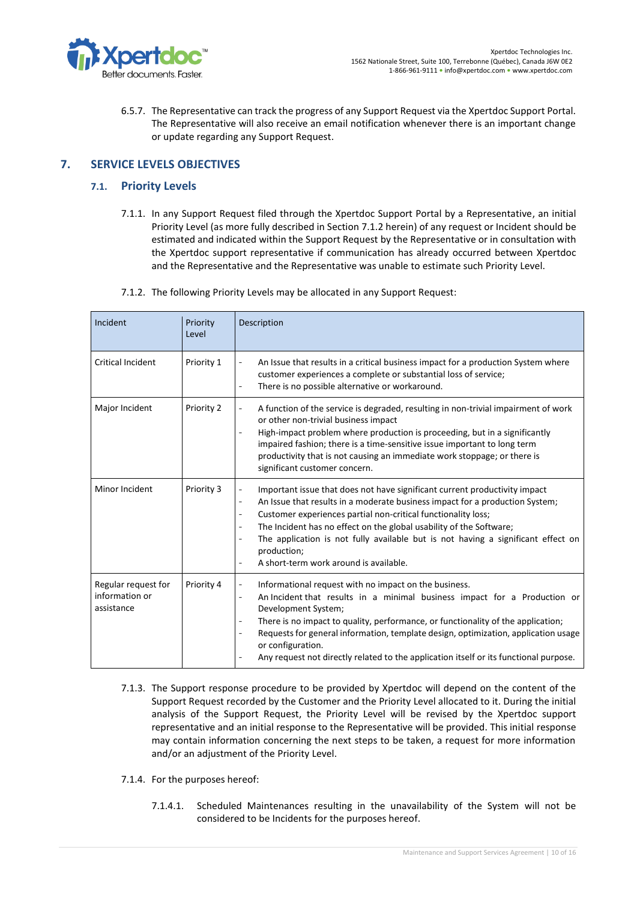

6.5.7. The Representative can track the progress of any Support Request via the Xpertdoc Support Portal. The Representative will also receive an email notification whenever there is an important change or update regarding any Support Request.

# **7. SERVICE LEVELS OBJECTIVES**

# **7.1. Priority Levels**

- 7.1.1. In any Support Request filed through the Xpertdoc Support Portal by a Representative, an initial Priority Level (as more fully described in Section [7.1.2](#page-9-0) herein) of any request or Incident should be estimated and indicated within the Support Request by the Representative or in consultation with the Xpertdoc support representative if communication has already occurred between Xpertdoc and the Representative and the Representative was unable to estimate such Priority Level.
- 7.1.2. The following Priority Levels may be allocated in any Support Request:

<span id="page-9-0"></span>

| Incident                                            | Priority<br>Level | Description                                                                                                                                                                                                                                                                                                                                                                                                                                                                                               |
|-----------------------------------------------------|-------------------|-----------------------------------------------------------------------------------------------------------------------------------------------------------------------------------------------------------------------------------------------------------------------------------------------------------------------------------------------------------------------------------------------------------------------------------------------------------------------------------------------------------|
| <b>Critical Incident</b>                            | Priority 1        | An Issue that results in a critical business impact for a production System where<br>$\overline{\phantom{0}}$<br>customer experiences a complete or substantial loss of service;<br>There is no possible alternative or workaround.                                                                                                                                                                                                                                                                       |
| Major Incident                                      | Priority 2        | A function of the service is degraded, resulting in non-trivial impairment of work<br>or other non-trivial business impact<br>High-impact problem where production is proceeding, but in a significantly<br>impaired fashion; there is a time-sensitive issue important to long term<br>productivity that is not causing an immediate work stoppage; or there is<br>significant customer concern.                                                                                                         |
| Minor Incident                                      | Priority 3        | Important issue that does not have significant current productivity impact<br>An Issue that results in a moderate business impact for a production System;<br>$\overline{\phantom{a}}$<br>Customer experiences partial non-critical functionality loss;<br>$\overline{\phantom{0}}$<br>The Incident has no effect on the global usability of the Software;<br>The application is not fully available but is not having a significant effect on<br>production;<br>A short-term work around is available.   |
| Regular request for<br>information or<br>assistance | Priority 4        | Informational request with no impact on the business.<br>$\overline{\phantom{0}}$<br>An Incident that results in a minimal business impact for a Production or<br>$\overline{\phantom{0}}$<br>Development System;<br>There is no impact to quality, performance, or functionality of the application;<br>Requests for general information, template design, optimization, application usage<br>or configuration.<br>Any request not directly related to the application itself or its functional purpose. |

- 7.1.3. The Support response procedure to be provided by Xpertdoc will depend on the content of the Support Request recorded by the Customer and the Priority Level allocated to it. During the initial analysis of the Support Request, the Priority Level will be revised by the Xpertdoc support representative and an initial response to the Representative will be provided. This initial response may contain information concerning the next steps to be taken, a request for more information and/or an adjustment of the Priority Level.
- 7.1.4. For the purposes hereof:
	- 7.1.4.1. Scheduled Maintenances resulting in the unavailability of the System will not be considered to be Incidents for the purposes hereof.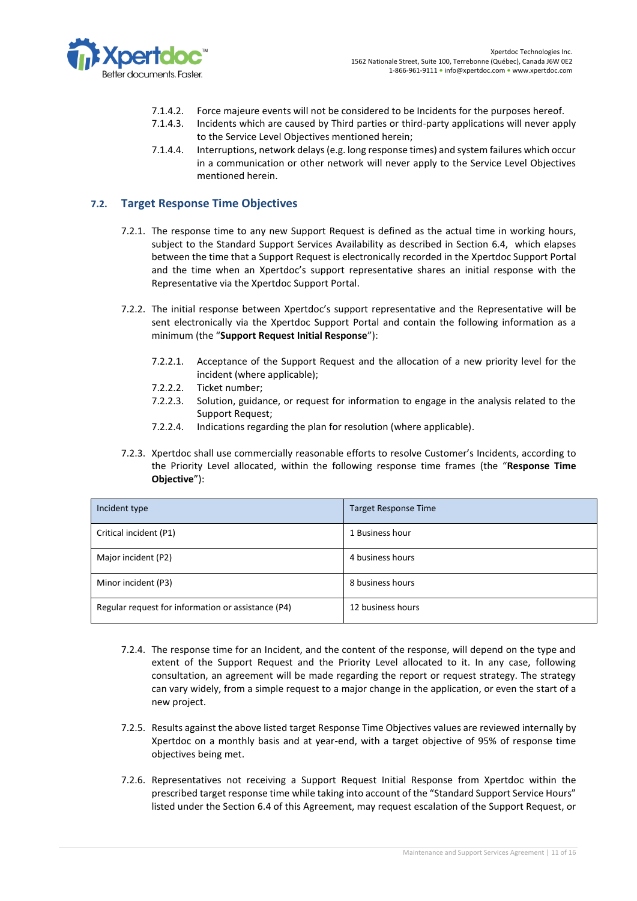

- 7.1.4.2. Force majeure events will not be considered to be Incidents for the purposes hereof.
- 7.1.4.3. Incidents which are caused by Third parties or third-party applications will never apply to the Service Level Objectives mentioned herein;
- 7.1.4.4. Interruptions, network delays (e.g. long response times) and system failures which occur in a communication or other network will never apply to the Service Level Objectives mentioned herein.

# <span id="page-10-2"></span>**7.2. Target Response Time Objectives**

- 7.2.1. The response time to any new Support Request is defined as the actual time in working hours, subject to the Standard Support Services Availability as described in Section [6.4,](#page-8-0) which elapses between the time that a Support Request is electronically recorded in the Xpertdoc Support Portal and the time when an Xpertdoc's support representative shares an initial response with the Representative via the Xpertdoc Support Portal.
- <span id="page-10-1"></span>7.2.2. The initial response between Xpertdoc's support representative and the Representative will be sent electronically via the Xpertdoc Support Portal and contain the following information as a minimum (the "**Support Request Initial Response**"):
	- 7.2.2.1. Acceptance of the Support Request and the allocation of a new priority level for the incident (where applicable);
	- 7.2.2.2. Ticket number;
	- 7.2.2.3. Solution, guidance, or request for information to engage in the analysis related to the Support Request;
	- 7.2.2.4. Indications regarding the plan for resolution (where applicable).
- 7.2.3. Xpertdoc shall use commercially reasonable efforts to resolve Customer's Incidents, according to the Priority Level allocated, within the following response time frames (the "**Response Time Objective**"):

<span id="page-10-0"></span>

| Incident type                                      | <b>Target Response Time</b> |
|----------------------------------------------------|-----------------------------|
| Critical incident (P1)                             | 1 Business hour             |
| Major incident (P2)                                | 4 business hours            |
| Minor incident (P3)                                | 8 business hours            |
| Regular request for information or assistance (P4) | 12 business hours           |

- 7.2.4. The response time for an Incident, and the content of the response, will depend on the type and extent of the Support Request and the Priority Level allocated to it. In any case, following consultation, an agreement will be made regarding the report or request strategy. The strategy can vary widely, from a simple request to a major change in the application, or even the start of a new project.
- 7.2.5. Results against the above listed target Response Time Objectives values are reviewed internally by Xpertdoc on a monthly basis and at year-end, with a target objective of 95% of response time objectives being met.
- 7.2.6. Representatives not receiving a Support Request Initial Response from Xpertdoc within the prescribed target response time while taking into account of the "Standard Support Service Hours" listed under the Section [6.4](#page-8-0) of this Agreement, may request escalation of the Support Request, or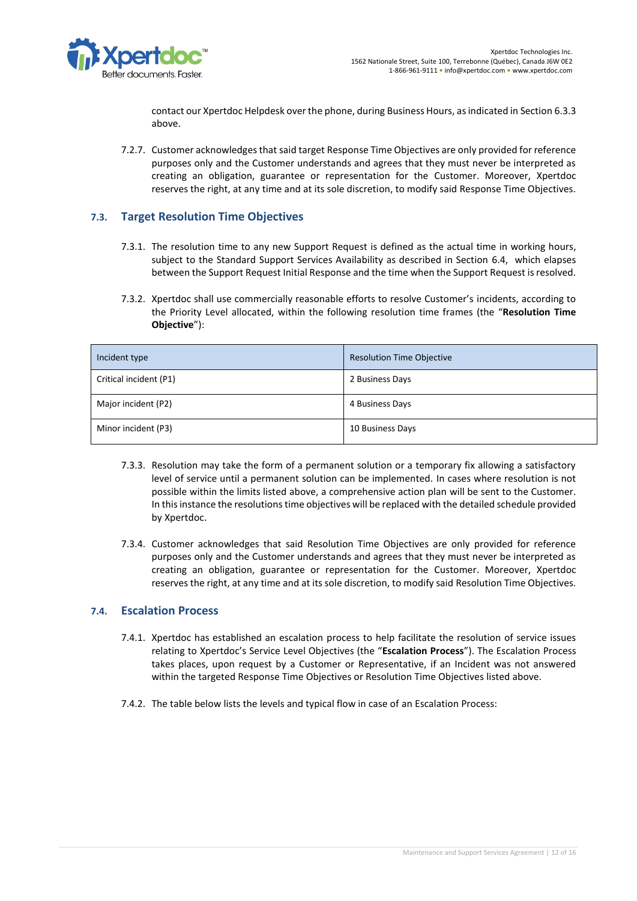

contact our Xpertdoc Helpdesk over the phone, during Business Hours, as indicated in Sectio[n 6.3.3](#page-7-2) above.

7.2.7. Customer acknowledges that said target Response Time Objectives are only provided for reference purposes only and the Customer understands and agrees that they must never be interpreted as creating an obligation, guarantee or representation for the Customer. Moreover, Xpertdoc reserves the right, at any time and at its sole discretion, to modify said Response Time Objectives.

# **7.3. Target Resolution Time Objectives**

- 7.3.1. The resolution time to any new Support Request is defined as the actual time in working hours, subject to the Standard Support Services Availability as described in Section [6.4,](#page-8-0) which elapses between the Support Request Initial Response and the time when the Support Request is resolved.
- 7.3.2. Xpertdoc shall use commercially reasonable efforts to resolve Customer's incidents, according to the Priority Level allocated, within the following resolution time frames (the "**Resolution Time Objective**"):

<span id="page-11-1"></span>

| Incident type          | <b>Resolution Time Objective</b> |
|------------------------|----------------------------------|
| Critical incident (P1) | 2 Business Days                  |
| Major incident (P2)    | 4 Business Days                  |
| Minor incident (P3)    | 10 Business Days                 |

- 7.3.3. Resolution may take the form of a permanent solution or a temporary fix allowing a satisfactory level of service until a permanent solution can be implemented. In cases where resolution is not possible within the limits listed above, a comprehensive action plan will be sent to the Customer. In this instance the resolutions time objectives will be replaced with the detailed schedule provided by Xpertdoc.
- 7.3.4. Customer acknowledges that said Resolution Time Objectives are only provided for reference purposes only and the Customer understands and agrees that they must never be interpreted as creating an obligation, guarantee or representation for the Customer. Moreover, Xpertdoc reserves the right, at any time and at its sole discretion, to modify said Resolution Time Objectives.

#### <span id="page-11-0"></span>**7.4. Escalation Process**

- 7.4.1. Xpertdoc has established an escalation process to help facilitate the resolution of service issues relating to Xpertdoc's Service Level Objectives (the "**Escalation Process**"). The Escalation Process takes places, upon request by a Customer or Representative, if an Incident was not answered within the targeted Response Time Objectives or Resolution Time Objectives listed above.
- 7.4.2. The table below lists the levels and typical flow in case of an Escalation Process: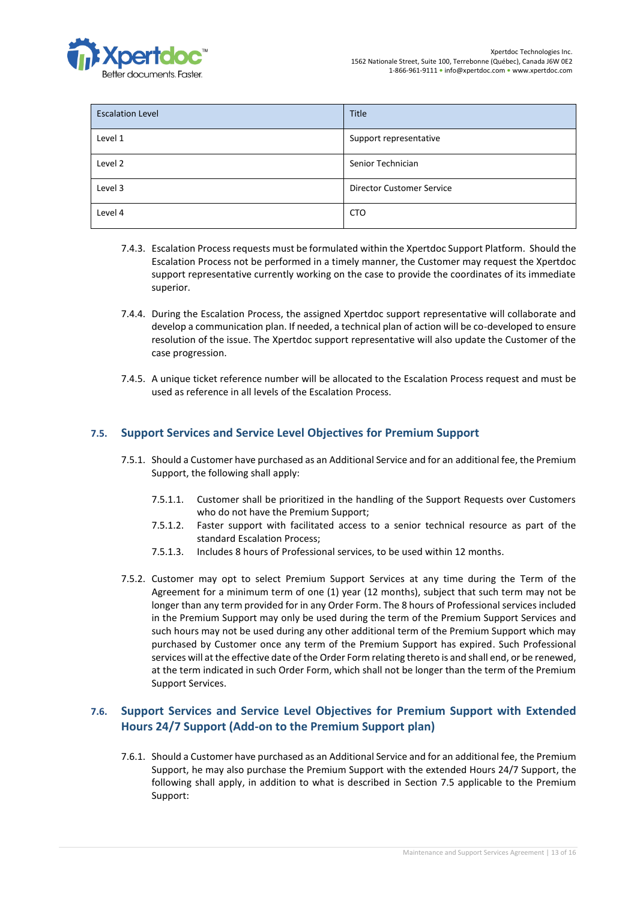

| <b>Escalation Level</b> | Title                            |
|-------------------------|----------------------------------|
| Level 1                 | Support representative           |
| Level 2                 | Senior Technician                |
| Level 3                 | <b>Director Customer Service</b> |
| Level 4                 | <b>CTO</b>                       |

- 7.4.3. Escalation Process requests must be formulated within the Xpertdoc Support Platform. Should the Escalation Process not be performed in a timely manner, the Customer may request the Xpertdoc support representative currently working on the case to provide the coordinates of its immediate superior.
- 7.4.4. During the Escalation Process, the assigned Xpertdoc support representative will collaborate and develop a communication plan. If needed, a technical plan of action will be co-developed to ensure resolution of the issue. The Xpertdoc support representative will also update the Customer of the case progression.
- 7.4.5. A unique ticket reference number will be allocated to the Escalation Process request and must be used as reference in all levels of the Escalation Process.

# <span id="page-12-0"></span>**7.5. Support Services and Service Level Objectives for Premium Support**

- 7.5.1. Should a Customer have purchased as an Additional Service and for an additional fee, the Premium Support, the following shall apply:
	- 7.5.1.1. Customer shall be prioritized in the handling of the Support Requests over Customers who do not have the Premium Support;
	- 7.5.1.2. Faster support with facilitated access to a senior technical resource as part of the standard Escalation Process;
	- 7.5.1.3. Includes 8 hours of Professional services, to be used within 12 months.
- 7.5.2. Customer may opt to select Premium Support Services at any time during the Term of the Agreement for a minimum term of one (1) year (12 months), subject that such term may not be longer than any term provided for in any Order Form. The 8 hours of Professional services included in the Premium Support may only be used during the term of the Premium Support Services and such hours may not be used during any other additional term of the Premium Support which may purchased by Customer once any term of the Premium Support has expired. Such Professional services will at the effective date of the Order Form relating thereto is and shall end, or be renewed, at the term indicated in such Order Form, which shall not be longer than the term of the Premium Support Services.

# <span id="page-12-1"></span>**7.6. Support Services and Service Level Objectives for Premium Support with Extended Hours 24/7 Support (Add-on to the Premium Support plan)**

7.6.1. Should a Customer have purchased as an Additional Service and for an additional fee, the Premium Support, he may also purchase the Premium Support with the extended Hours 24/7 Support, the following shall apply, in addition to what is described in Section [7.5](#page-12-0) applicable to the Premium Support: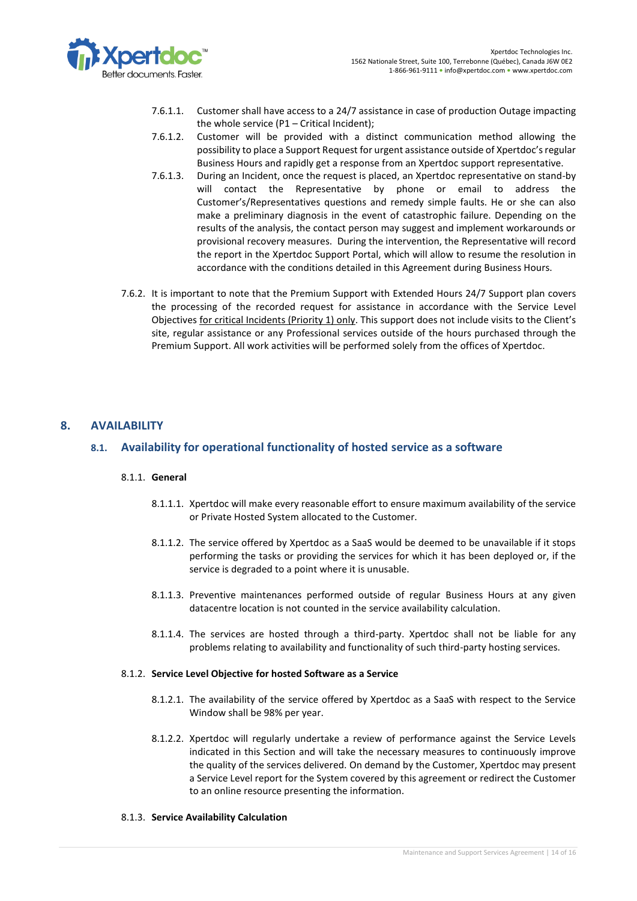

- 7.6.1.1. Customer shall have access to a 24/7 assistance in case of production Outage impacting the whole service (P1 – Critical Incident);
- 7.6.1.2. Customer will be provided with a distinct communication method allowing the possibility to place a Support Request for urgent assistance outside of Xpertdoc's regular Business Hours and rapidly get a response from an Xpertdoc support representative.
- 7.6.1.3. During an Incident, once the request is placed, an Xpertdoc representative on stand-by will contact the Representative by phone or email to address the Customer's/Representatives questions and remedy simple faults. He or she can also make a preliminary diagnosis in the event of catastrophic failure. Depending on the results of the analysis, the contact person may suggest and implement workarounds or provisional recovery measures. During the intervention, the Representative will record the report in the Xpertdoc Support Portal, which will allow to resume the resolution in accordance with the conditions detailed in this Agreement during Business Hours.
- 7.6.2. It is important to note that the Premium Support with Extended Hours 24/7 Support plan covers the processing of the recorded request for assistance in accordance with the Service Level Objectives for critical Incidents (Priority 1) only. This support does not include visits to the Client's site, regular assistance or any Professional services outside of the hours purchased through the Premium Support. All work activities will be performed solely from the offices of Xpertdoc.

# **8. AVAILABILITY**

# **8.1. Availability for operational functionality of hosted service as a software**

#### 8.1.1. **General**

- 8.1.1.1. Xpertdoc will make every reasonable effort to ensure maximum availability of the service or Private Hosted System allocated to the Customer.
- 8.1.1.2. The service offered by Xpertdoc as a SaaS would be deemed to be unavailable if it stops performing the tasks or providing the services for which it has been deployed or, if the service is degraded to a point where it is unusable.
- 8.1.1.3. Preventive maintenances performed outside of regular Business Hours at any given datacentre location is not counted in the service availability calculation.
- 8.1.1.4. The services are hosted through a third-party. Xpertdoc shall not be liable for any problems relating to availability and functionality of such third-party hosting services.

#### 8.1.2. **Service Level Objective for hosted Software as a Service**

- 8.1.2.1. The availability of the service offered by Xpertdoc as a SaaS with respect to the Service Window shall be 98% per year.
- 8.1.2.2. Xpertdoc will regularly undertake a review of performance against the Service Levels indicated in this Section and will take the necessary measures to continuously improve the quality of the services delivered. On demand by the Customer, Xpertdoc may present a Service Level report for the System covered by this agreement or redirect the Customer to an online resource presenting the information.

#### 8.1.3. **Service Availability Calculation**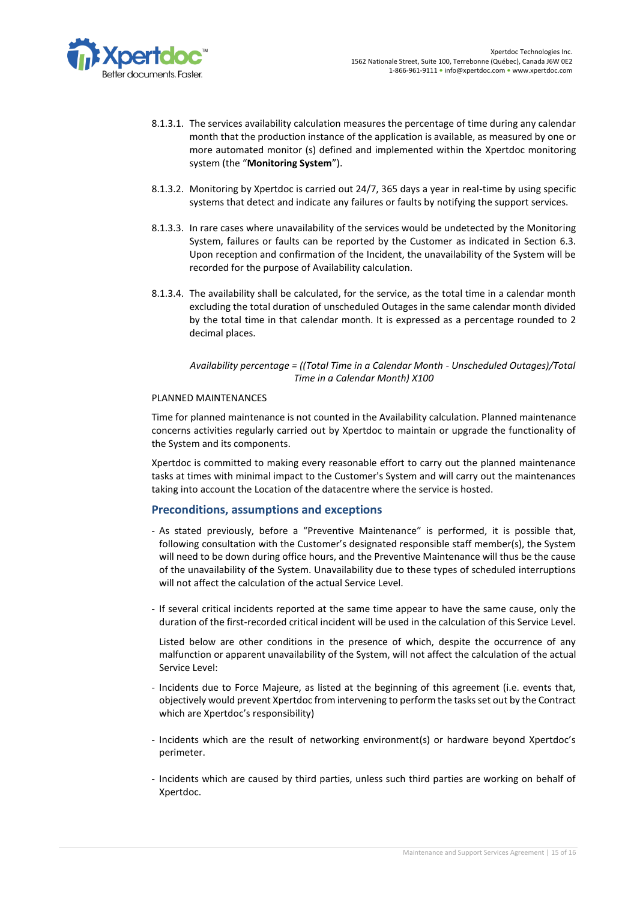

- 8.1.3.1. The services availability calculation measures the percentage of time during any calendar month that the production instance of the application is available, as measured by one or more automated monitor (s) defined and implemented within the Xpertdoc monitoring system (the "**Monitoring System**").
- 8.1.3.2. Monitoring by Xpertdoc is carried out 24/7, 365 days a year in real-time by using specific systems that detect and indicate any failures or faults by notifying the support services.
- 8.1.3.3. In rare cases where unavailability of the services would be undetected by the Monitoring System, failures or faults can be reported by the Customer as indicated in Section [6.3.](#page-7-1) Upon reception and confirmation of the Incident, the unavailability of the System will be recorded for the purpose of Availability calculation.
- 8.1.3.4. The availability shall be calculated, for the service, as the total time in a calendar month excluding the total duration of unscheduled Outages in the same calendar month divided by the total time in that calendar month. It is expressed as a percentage rounded to 2 decimal places.

## *Availability percentage = ((Total Time in a Calendar Month - Unscheduled Outages)/Total Time in a Calendar Month) X100*

## PLANNED MAINTENANCES

Time for planned maintenance is not counted in the Availability calculation. Planned maintenance concerns activities regularly carried out by Xpertdoc to maintain or upgrade the functionality of the System and its components.

Xpertdoc is committed to making every reasonable effort to carry out the planned maintenance tasks at times with minimal impact to the Customer's System and will carry out the maintenances taking into account the Location of the datacentre where the service is hosted.

# **Preconditions, assumptions and exceptions**

- As stated previously, before a "Preventive Maintenance" is performed, it is possible that, following consultation with the Customer's designated responsible staff member(s), the System will need to be down during office hours, and the Preventive Maintenance will thus be the cause of the unavailability of the System. Unavailability due to these types of scheduled interruptions will not affect the calculation of the actual Service Level.
- If several critical incidents reported at the same time appear to have the same cause, only the duration of the first-recorded critical incident will be used in the calculation of this Service Level.

Listed below are other conditions in the presence of which, despite the occurrence of any malfunction or apparent unavailability of the System, will not affect the calculation of the actual Service Level:

- Incidents due to Force Majeure, as listed at the beginning of this agreement (i.e. events that, objectively would prevent Xpertdoc from intervening to perform the tasks set out by the Contract which are Xpertdoc's responsibility)
- Incidents which are the result of networking environment(s) or hardware beyond Xpertdoc's perimeter.
- Incidents which are caused by third parties, unless such third parties are working on behalf of Xpertdoc.